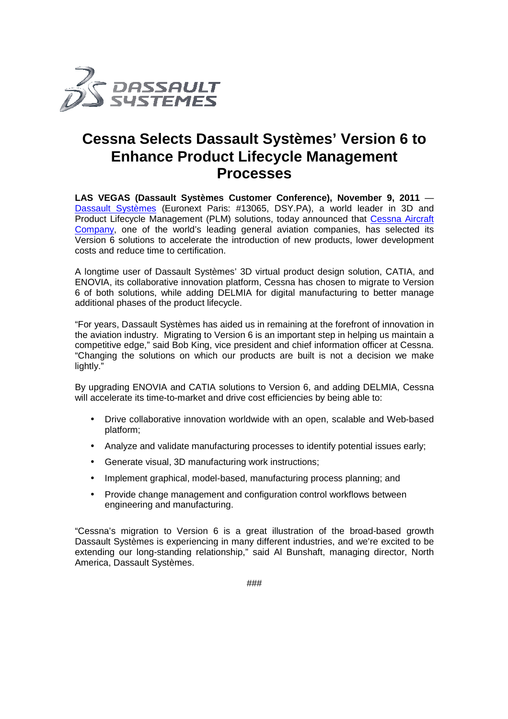

## **Cessna Selects Dassault Systèmes' Version 6 to Enhance Product Lifecycle Management Processes**

LAS VEGAS (Dassault Systèmes Customer Conference), November 9, 2011 -Dassault Systèmes (Euronext Paris: #13065, DSY.PA), a world leader in 3D and Product Lifecycle Management (PLM) solutions, today announced that Cessna Aircraft Company, one of the world's leading general aviation companies, has selected its Version 6 solutions to accelerate the introduction of new products, lower development costs and reduce time to certification.

A longtime user of Dassault Systèmes' 3D virtual product design solution, CATIA, and ENOVIA, its collaborative innovation platform, Cessna has chosen to migrate to Version 6 of both solutions, while adding DELMIA for digital manufacturing additional phases of the product lifecycle. e introduction of new products, lower development<br>es' 3D virtual product design solution, CATIA, and<br>platform, Cessna has chosen to migrate to Version<br>ELMIA for digital manufacturing to better manage

"For years, Dassault Systèmes has aided us in remaining at the forefront of innovation in the aviation industry. Migrating to Version 6 is an important step in helping us maintain a competitive edge," said Bob King, vice president and chief information officer at Cessna. "Changing the solutions on which our products are built is not a decision we make lightly." "Changing the solutions on which our products are built is not a decision we make<br>lightly."<br>By upgrading ENOVIA and CATIA solutions to Version 6, and adding DELMIA, Cessna

will accelerate its time-to-market and drive cost efficiencies by being able to:

- Drive collaborative innovation worldwide with an open, scalable and Web-based platform;
- Analyze and validate manufacturing processes to identify potential issues early;
- Analyze and validate manufacturing processes to ider<br>● Generate visual, 3D manufacturing work instructions;
- Analyze and validate manufacturing processes to identify potential issues<br>● Generate visual, 3D manufacturing work instructions;<br>● Implement graphical, model-based, manufacturing process planning; and
- Provide change management and configuration control workflows between engineering and manufacturing.

"Cessna's migration to Version 6 is a great illustration of the broad-based growth Dassault Systèmes is experiencing in many different industries, and we're excited to be extending our long-standing relationship," said Al Bunshaft, managing director, North America, Dassault Systèmes.